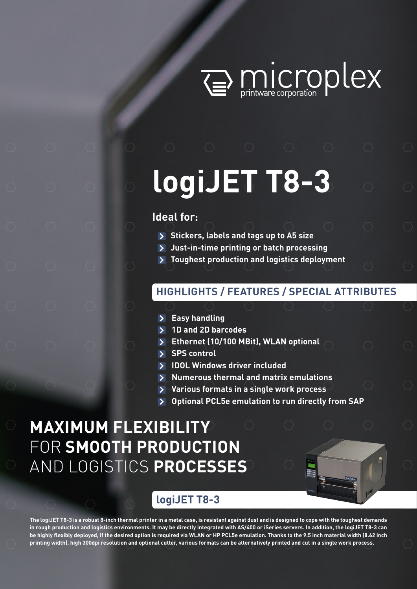

# **logiJET T8-3**

## **Ideal for:**

- **Stickers, labels and tags up to A5 size**
- **Just-in-time printing or batch processing**
- **Toughest production and logistics deployment**

## **HIGHLIGHTS / FEATURES / SPECIAL ATTRIBUTES**

- **Easy handling**
- **1D and 2D barcodes**
- **Ethernet (10/100 MBit), WLAN optional**
- **SPS control**
- **IDOL Windows driver included**
- **Numerous thermal and matrix emulations**
- **Various formats in a single work process**
- **Optional PCL5e emulation to run directly from SAP**

## **MAXIMUM FLEXIBILITY**  FOR **SMOOTH PRODUCTION**  AND LOGISTICS **PROCESSES**



## **logiJET T8-3**

**The logiJET T8-3 is a robust 8-inch thermal printer in a metal case, is resistant against dust and is designed to cope with the toughest demands in rough production and logistics environments. It may be directly integrated with AS/400 or iSeries servers. In addition, the logiJET T8-3 can be highly flexibly deployed, if the desired option is required via WLAN or HP PCL5e emulation. Thanks to the 9.5 inch material width (8.62 inch printing width), high 300dpi resolution and optional cutter, various formats can be alternatively printed and cut in a single work process.**